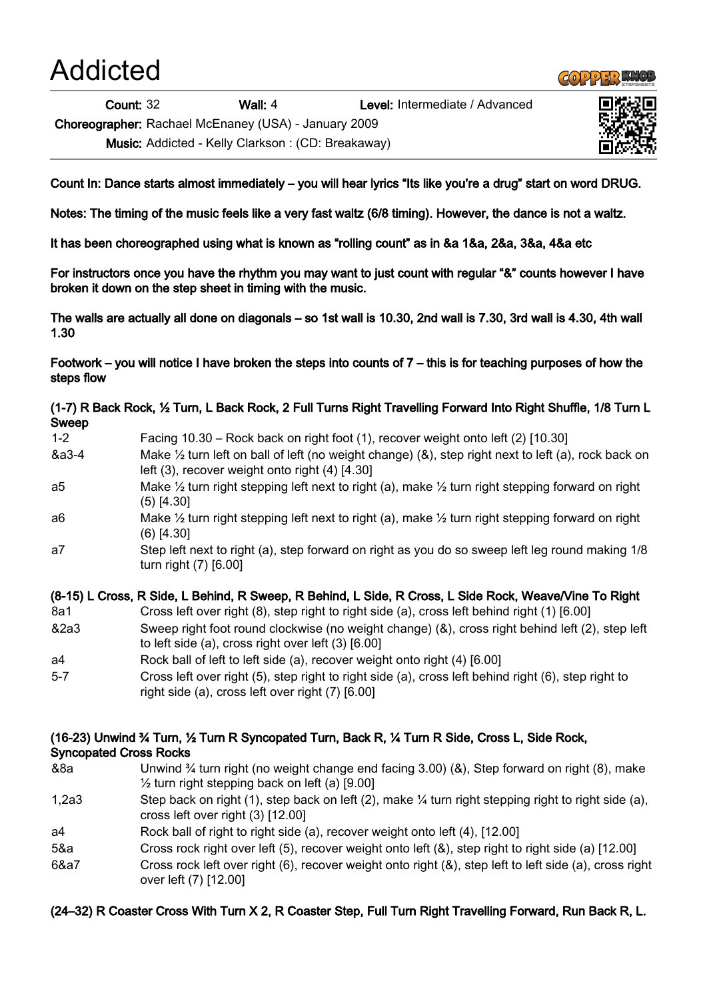Addicted

Count: 32 Wall: 4 Level: Intermediate / Advanced

Choreographer: Rachael McEnaney (USA) - January 2009

Music: Addicted - Kelly Clarkson : (CD: Breakaway)

Count In: Dance starts almost immediately – you will hear lyrics "Its like you're a drug" start on word DRUG.

Notes: The timing of the music feels like a very fast waltz (6/8 timing). However, the dance is not a waltz.

It has been choreographed using what is known as "rolling count" as in &a 1&a, 2&a, 3&a, 4&a etc

For instructors once you have the rhythm you may want to just count with regular "&" counts however I have broken it down on the step sheet in timing with the music.

The walls are actually all done on diagonals – so 1st wall is 10.30, 2nd wall is 7.30, 3rd wall is 4.30, 4th wall 1.30

Footwork – you will notice I have broken the steps into counts of 7 – this is for teaching purposes of how the steps flow

(1-7) R Back Rock, ½ Turn, L Back Rock, 2 Full Turns Right Travelling Forward Into Right Shuffle, 1/8 Turn L Sweep

- 1-2 Facing 10.30 Rock back on right foot (1), recover weight onto left (2) [10.30] &a3-4 Make ½ turn left on ball of left (no weight change) (&), step right next to left (a), rock back on left (3), recover weight onto right (4) [4.30] a5 Make ½ turn right stepping left next to right (a), make ½ turn right stepping forward on right
- (5) [4.30]
- a6 Make 1/2 turn right stepping left next to right (a), make 1/2 turn right stepping forward on right (6) [4.30]
- a7 Step left next to right (a), step forward on right as you do so sweep left leg round making 1/8 turn right (7) [6.00]

# (8-15) L Cross, R Side, L Behind, R Sweep, R Behind, L Side, R Cross, L Side Rock, Weave/Vine To Right

- 8a1 Cross left over right (8), step right to right side (a), cross left behind right (1) [6.00]
- &2a3 Sweep right foot round clockwise (no weight change) (&), cross right behind left (2), step left to left side (a), cross right over left (3) [6.00]
- a4 Rock ball of left to left side (a), recover weight onto right (4) [6.00]
- 5-7 Cross left over right (5), step right to right side (a), cross left behind right (6), step right to right side (a), cross left over right (7) [6.00]

## (16-23) Unwind ¾ Turn, ½ Turn R Syncopated Turn, Back R, ¼ Turn R Side, Cross L, Side Rock, Syncopated Cross Rocks

- &8a Unwind ¾ turn right (no weight change end facing 3.00) (&), Step forward on right (8), make  $\frac{1}{2}$  turn right stepping back on left (a) [9.00]
- 1,2a3 Step back on right (1), step back on left (2), make ¼ turn right stepping right to right side (a), cross left over right (3) [12.00]
- a4 Rock ball of right to right side (a), recover weight onto left (4), [12.00]
- 5&a Cross rock right over left (5), recover weight onto left (&), step right to right side (a) [12.00]
- 6&a7 Cross rock left over right (6), recover weight onto right (&), step left to left side (a), cross right over left (7) [12.00]

# (24–32) R Coaster Cross With Turn X 2, R Coaster Step, Full Turn Right Travelling Forward, Run Back R, L.